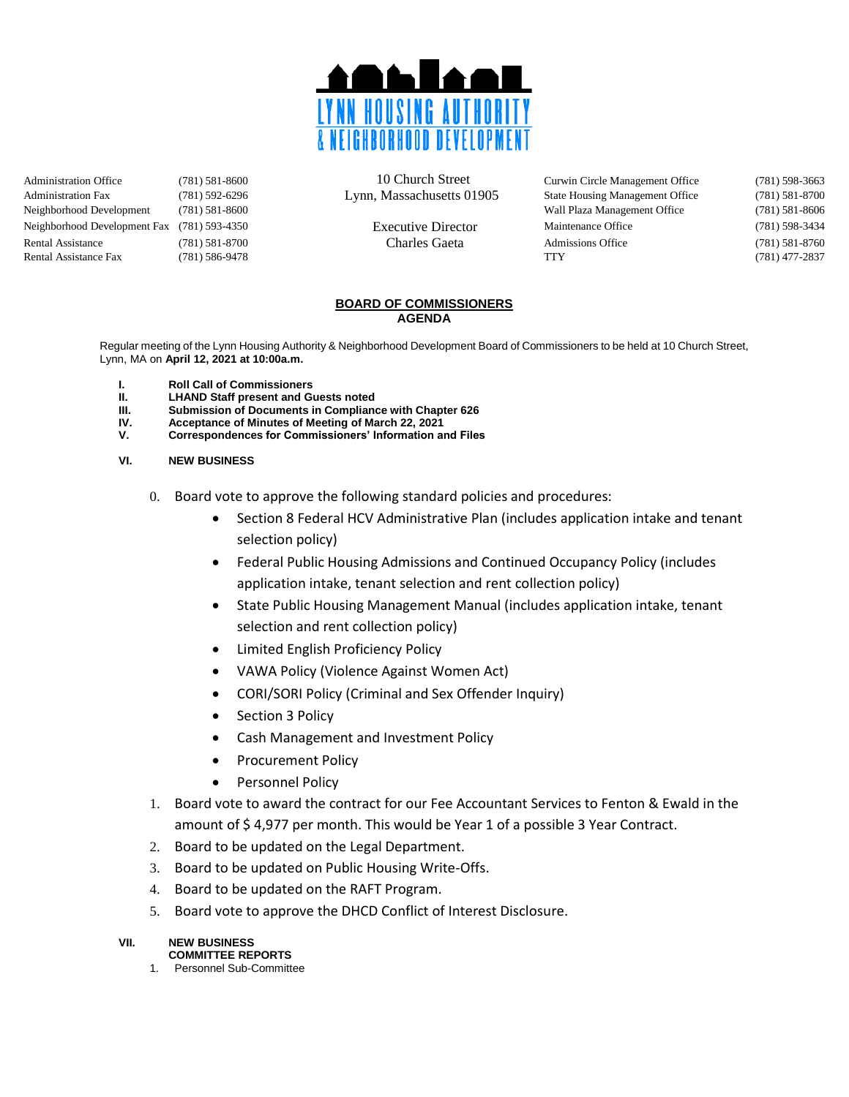

Administration Office (781) 581-8600 10 Church Street Curwin Circle Management Office (781) 598-3663 Administration Fax (781) 592-6296 Lynn, Massachusetts 01905 State Housing Management Office (781) 581-8700 Neighborhood Development (781) 581-8600 Wall Plaza Management Office (781) 581-8606 Neighborhood Development Fax (781) 593-4350 Executive Director Maintenance Office (781) 598-3434 Rental Assistance (781) 581-8700 Charles Gaeta Admissions Office (781) 581-8760 Rental Assistance Fax (781) 586-9478 TTY (781) 477-2837

#### **BOARD OF COMMISSIONERS AGENDA**

Regular meeting of the Lynn Housing Authority & Neighborhood Development Board of Commissioners to be held at 10 Church Street, Lynn, MA on **April 12, 2021 at 10:00a.m.**

- **I. Roll Call of Commissioners**
- **II. LHAND Staff present and Guests noted**
- **Submission of Documents in Compliance with Chapter 626**
- **IV. Acceptance of Minutes of Meeting of March 22, 2021**
- **V. Correspondences for Commissioners' Information and Files**

#### **VI. NEW BUSINESS**

- 0. Board vote to approve the following standard policies and procedures:
	- Section 8 Federal HCV Administrative Plan (includes application intake and tenant selection policy)
	- Federal Public Housing Admissions and Continued Occupancy Policy (includes application intake, tenant selection and rent collection policy)
	- State Public Housing Management Manual (includes application intake, tenant selection and rent collection policy)
	- Limited English Proficiency Policy
	- VAWA Policy (Violence Against Women Act)
	- CORI/SORI Policy (Criminal and Sex Offender Inquiry)
	- Section 3 Policy
	- Cash Management and Investment Policy
	- Procurement Policy
	- Personnel Policy
- 1. Board vote to award the contract for our Fee Accountant Services to Fenton & Ewald in the amount of \$ 4,977 per month. This would be Year 1 of a possible 3 Year Contract.
- 2. Board to be updated on the Legal Department.
- 3. Board to be updated on Public Housing Write-Offs.
- 4. Board to be updated on the RAFT Program.
- 5. Board vote to approve the DHCD Conflict of Interest Disclosure.

## **VII. NEW BUSINESS**

### **COMMITTEE REPORTS**

1. Personnel Sub-Committee